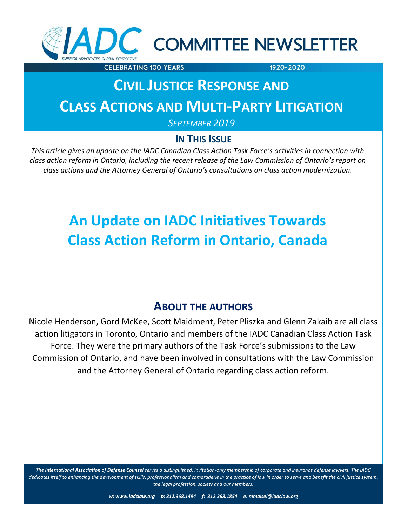

# C COMMITTEE NEWSLETTER

**CELEBRATING 100 YEARS** 

1920-2020

# **CIVIL JUSTICE RESPONSE AND CLASS ACTIONS AND MULTI-PARTY LITIGATION**

*SEPTEMBER 2019*

### **IN THIS ISSUE**

*This article gives an update on the IADC Canadian Class Action Task Force's activities in connection with class action reform in Ontario, including the recent release of the Law Commission of Ontario's report on class action reform in Ontario, including the recent release of the Law Commission of Ontario's report on class actions and the Attorney General of Ontario's consultations on class action modernization.*

# **An Update on IADC Initiatives Towards Class Action Reform in Ontario, Canada**

## **ABOUT THE AUTHORS**

Nicole Henderson, Gord McKee, Scott Maidment, Peter Pliszka and Glenn Zakaib are all class action litigators in Toronto, Ontario and members of the IADC Canadian Class Action Task Force. They were the primary authors of the Task Force's submissions to the Law Commission of Ontario, and have been involved in consultations with the Law Commission and the Attorney General of Ontario regarding class action reform.

*The International Association of Defense Counsel serves a distinguished, invitation-only membership of corporate and insurance defense lawyers. The IADC dedicates itself to enhancing the development of skills, professionalism and camaraderie in the practice of law in order to serve and benefit the civil justice system, the legal profession, society and our members.*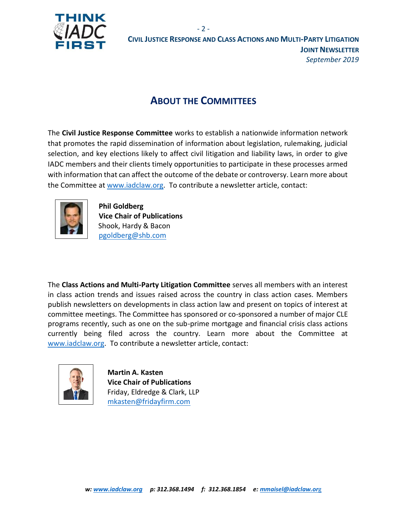

### **ABOUT THE COMMITTEES**

The **Civil Justice Response Committee** works to establish a nationwide information network that promotes the rapid dissemination of information about legislation, rulemaking, judicial selection, and key elections likely to affect civil litigation and liability laws, in order to give IADC members and their clients timely opportunities to participate in these processes armed with information that can affect the outcome of the debate or controversy. Learn more about the Committee at [www.iadclaw.org.](http://www.iadclaw.org/) To contribute a newsletter article, contact:



**Phil Goldberg Vice Chair of Publications** Shook, Hardy & Bacon [pgoldberg@shb.com](mailto:pgoldberg@shb.com)

The **Class Actions and Multi-Party Litigation Committee** serves all members with an interest in class action trends and issues raised across the country in class action cases. Members publish newsletters on developments in class action law and present on topics of interest at committee meetings. The Committee has sponsored or co-sponsored a number of major CLE programs recently, such as one on the sub-prime mortgage and financial crisis class actions currently being filed across the country. Learn more about the Committee at [www.iadclaw.org.](http://www.iadclaw.org/) To contribute a newsletter article, contact:



 **Martin A. Kasten Vice Chair of Publications** Friday, Eldredge & Clark, LLP mkasten@fridayfirm.com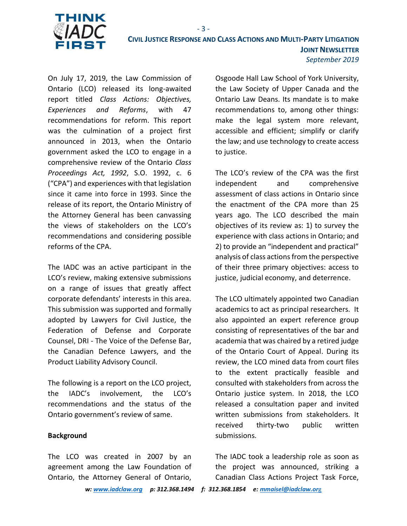

On July 17, 2019, the Law Commission of Ontario (LCO) released its long-awaited report titled *Class Actions: Objectives, Experiences and Reforms*, with 47 recommendations for reform. This report was the culmination of a project first announced in 2013, when the Ontario government asked the LCO to engage in a comprehensive review of the Ontario *Class Proceedings Act, 1992*, S.O. 1992, c. 6 ("CPA") and experiences with that legislation since it came into force in 1993. Since the release of its report, the Ontario Ministry of the Attorney General has been canvassing the views of stakeholders on the LCO's recommendations and considering possible reforms of the CPA.

The IADC was an active participant in the LCO's review, making extensive submissions on a range of issues that greatly affect corporate defendants' interests in this area. This submission was supported and formally adopted by Lawyers for Civil Justice, the Federation of Defense and Corporate Counsel, DRI - The Voice of the Defense Bar, the Canadian Defence Lawyers, and the Product Liability Advisory Council.

The following is a report on the LCO project, the IADC's involvement, the LCO's recommendations and the status of the Ontario government's review of same.

#### **Background**

The LCO was created in 2007 by an agreement among the Law Foundation of Ontario, the Attorney General of Ontario,

Osgoode Hall Law School of York University, the Law Society of Upper Canada and the Ontario Law Deans. Its mandate is to make recommendations to, among other things: make the legal system more relevant, accessible and efficient; simplify or clarify the law; and use technology to create access to justice.

The LCO's review of the CPA was the first independent and comprehensive assessment of class actions in Ontario since the enactment of the CPA more than 25 years ago. The LCO described the main objectives of its review as: 1) to survey the experience with class actions in Ontario; and 2) to provide an "independent and practical" analysis of class actions from the perspective of their three primary objectives: access to justice, judicial economy, and deterrence.

The LCO ultimately appointed two Canadian academics to act as principal researchers. It also appointed an expert reference group consisting of representatives of the bar and academia that was chaired by a retired judge of the Ontario Court of Appeal. During its review, the LCO mined data from court files to the extent practically feasible and consulted with stakeholders from across the Ontario justice system. In 2018, the LCO released a consultation paper and invited written submissions from stakeholders. It received thirty-two public written submissions.

The IADC took a leadership role as soon as the project was announced, striking a Canadian Class Actions Project Task Force,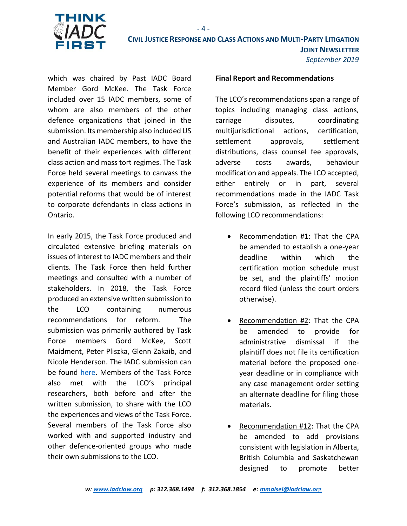

which was chaired by Past IADC Board Member Gord McKee. The Task Force included over 15 IADC members, some of whom are also members of the other defence organizations that joined in the submission. Its membership also included US and Australian IADC members, to have the benefit of their experiences with different class action and mass tort regimes. The Task Force held several meetings to canvass the experience of its members and consider potential reforms that would be of interest to corporate defendants in class actions in Ontario.

In early 2015, the Task Force produced and circulated extensive briefing materials on issues of interest to IADC members and their clients. The Task Force then held further meetings and consulted with a number of stakeholders. In 2018, the Task Force produced an extensive written submission to the LCO containing numerous recommendations for reform. The submission was primarily authored by Task Force members Gord McKee, Scott Maidment, Peter Pliszka, Glenn Zakaib, and Nicole Henderson. The IADC submission can be found [here.](https://www.lco-cdo.org/wp-content/uploads/2018/06/International-Association-of-Defence-Counsel-CA-Submission.pdf) Members of the Task Force also met with the LCO's principal researchers, both before and after the written submission, to share with the LCO the experiences and views of the Task Force. Several members of the Task Force also worked with and supported industry and other defence-oriented groups who made their own submissions to the LCO.

#### **Final Report and Recommendations**

The LCO's recommendations span a range of topics including managing class actions, carriage disputes, coordinating multijurisdictional actions, certification, settlement approvals, settlement distributions, class counsel fee approvals, adverse costs awards, behaviour modification and appeals. The LCO accepted, either entirely or in part, several recommendations made in the IADC Task Force's submission, as reflected in the following LCO recommendations:

- Recommendation #1: That the CPA be amended to establish a one-year deadline within which the certification motion schedule must be set, and the plaintiffs' motion record filed (unless the court orders otherwise).
- Recommendation #2: That the CPA be amended to provide for administrative dismissal if the plaintiff does not file its certification material before the proposed oneyear deadline or in compliance with any case management order setting an alternate deadline for filing those materials.
- Recommendation #12: That the CPA be amended to add provisions consistent with legislation in Alberta, British Columbia and Saskatchewan designed to promote better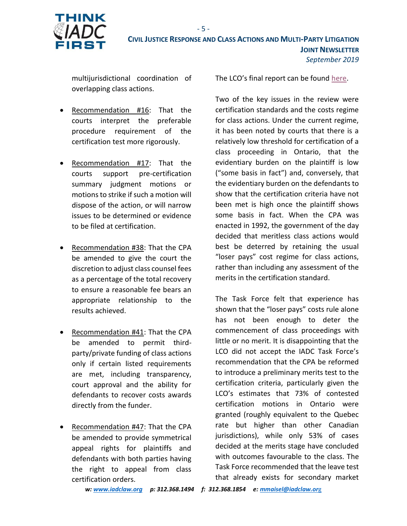

multijurisdictional coordination of overlapping class actions.

- Recommendation #16: That the courts interpret the preferable procedure requirement of the certification test more rigorously.
- Recommendation #17: That the courts support pre-certification summary judgment motions or motions to strike if such a motion will dispose of the action, or will narrow issues to be determined or evidence to be filed at certification.
- Recommendation #38: That the CPA be amended to give the court the discretion to adjust class counsel fees as a percentage of the total recovery to ensure a reasonable fee bears an appropriate relationship to the results achieved.
- Recommendation #41: That the CPA be amended to permit thirdparty/private funding of class actions only if certain listed requirements are met, including transparency, court approval and the ability for defendants to recover costs awards directly from the funder.
- Recommendation #47: That the CPA be amended to provide symmetrical appeal rights for plaintiffs and defendants with both parties having the right to appeal from class certification orders.

The LCO's final report can be found [here.](https://www.lco-cdo.org/wp-content/uploads/2019/07/LCO-Class-Actions-Report-FINAL-July-17-2019.pdf)

Two of the key issues in the review were certification standards and the costs regime for class actions. Under the current regime, it has been noted by courts that there is a relatively low threshold for certification of a class proceeding in Ontario, that the evidentiary burden on the plaintiff is low ("some basis in fact") and, conversely, that the evidentiary burden on the defendants to show that the certification criteria have not been met is high once the plaintiff shows some basis in fact. When the CPA was enacted in 1992, the government of the day decided that meritless class actions would best be deterred by retaining the usual "loser pays" cost regime for class actions, rather than including any assessment of the merits in the certification standard.

The Task Force felt that experience has shown that the "loser pays" costs rule alone has not been enough to deter the commencement of class proceedings with little or no merit. It is disappointing that the LCO did not accept the IADC Task Force's recommendation that the CPA be reformed to introduce a preliminary merits test to the certification criteria, particularly given the LCO's estimates that 73% of contested certification motions in Ontario were granted (roughly equivalent to the Quebec rate but higher than other Canadian jurisdictions), while only 53% of cases decided at the merits stage have concluded with outcomes favourable to the class. The Task Force recommended that the leave test that already exists for secondary market

*w[: www.iadclaw.org](http://www.iadclaw.org/) p: 312.368.1494 f: 312.368.1854 e: [mmaisel@iadclaw.or](mailto:mmaisel@iadclaw.org)*g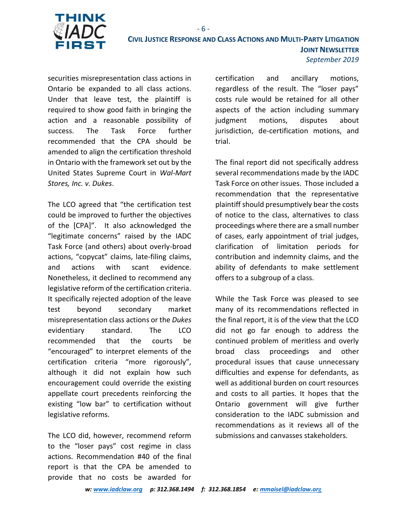

securities misrepresentation class actions in Ontario be expanded to all class actions. Under that leave test, the plaintiff is required to show good faith in bringing the action and a reasonable possibility of success. The Task Force further recommended that the CPA should be amended to align the certification threshold in Ontario with the framework set out by the United States Supreme Court in *Wal-Mart Stores, Inc. v. Dukes*.

The LCO agreed that "the certification test could be improved to further the objectives of the [CPA]". It also acknowledged the "legitimate concerns" raised by the IADC Task Force (and others) about overly-broad actions, "copycat" claims, late-filing claims, and actions with scant evidence. Nonetheless, it declined to recommend any legislative reform of the certification criteria. It specifically rejected adoption of the leave test beyond secondary market misrepresentation class actions or the *Dukes* evidentiary standard. The LCO recommended that the courts be "encouraged" to interpret elements of the certification criteria "more rigorously", although it did not explain how such encouragement could override the existing appellate court precedents reinforcing the existing "low bar" to certification without legislative reforms.

The LCO did, however, recommend reform to the "loser pays" cost regime in class actions. Recommendation #40 of the final report is that the CPA be amended to provide that no costs be awarded for

certification and ancillary motions, regardless of the result. The "loser pays" costs rule would be retained for all other aspects of the action including summary judgment motions, disputes about jurisdiction, de-certification motions, and trial.

The final report did not specifically address several recommendations made by the IADC Task Force on other issues. Those included a recommendation that the representative plaintiff should presumptively bear the costs of notice to the class, alternatives to class proceedings where there are a small number of cases, early appointment of trial judges, clarification of limitation periods for contribution and indemnity claims, and the ability of defendants to make settlement offers to a subgroup of a class.

While the Task Force was pleased to see many of its recommendations reflected in the final report, it is of the view that the LCO did not go far enough to address the continued problem of meritless and overly broad class proceedings and other procedural issues that cause unnecessary difficulties and expense for defendants, as well as additional burden on court resources and costs to all parties. It hopes that the Ontario government will give further consideration to the IADC submission and recommendations as it reviews all of the submissions and canvasses stakeholders.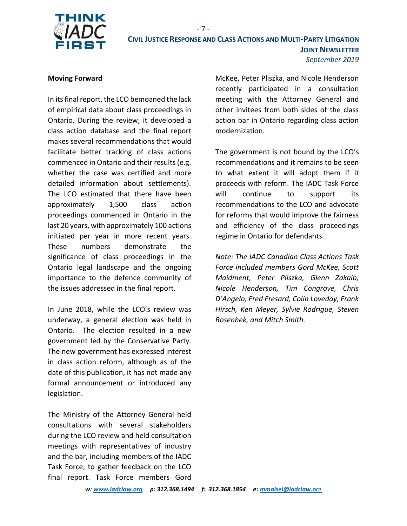

#### **Moving Forward**

In its final report, the LCO bemoaned the lack of empirical data about class proceedings in Ontario. During the review, it developed a class action database and the final report makes several recommendations that would facilitate better tracking of class actions commenced in Ontario and their results (e.g. whether the case was certified and more detailed information about settlements). The LCO estimated that there have been approximately 1,500 class action proceedings commenced in Ontario in the last 20 years, with approximately 100 actions initiated per year in more recent years. These numbers demonstrate the significance of class proceedings in the Ontario legal landscape and the ongoing importance to the defence community of the issues addressed in the final report.

In June 2018, while the LCO's review was underway, a general election was held in Ontario. The election resulted in a new government led by the Conservative Party. The new government has expressed interest in class action reform, although as of the date of this publication, it has not made any formal announcement or introduced any legislation.

The Ministry of the Attorney General held consultations with several stakeholders during the LCO review and held consultation meetings with representatives of industry and the bar, including members of the IADC Task Force, to gather feedback on the LCO final report. Task Force members Gord McKee, Peter Pliszka, and Nicole Henderson recently participated in a consultation meeting with the Attorney General and other invitees from both sides of the class action bar in Ontario regarding class action modernization.

The government is not bound by the LCO's recommendations and it remains to be seen to what extent it will adopt them if it proceeds with reform. The IADC Task Force will continue to support its recommendations to the LCO and advocate for reforms that would improve the fairness and efficiency of the class proceedings regime in Ontario for defendants.

*Note: The IADC Canadian Class Actions Task Force included members Gord McKee, Scott Maidment, Peter Pliszka, Glenn Zakaib, Nicole Henderson, Tim Congrove, Chris D'Angelo, Fred Fresard, Colin Loveday, Frank Hirsch, Ken Meyer, Sylvie Rodrigue, Steven Rosenhek, and Mitch Smith.*